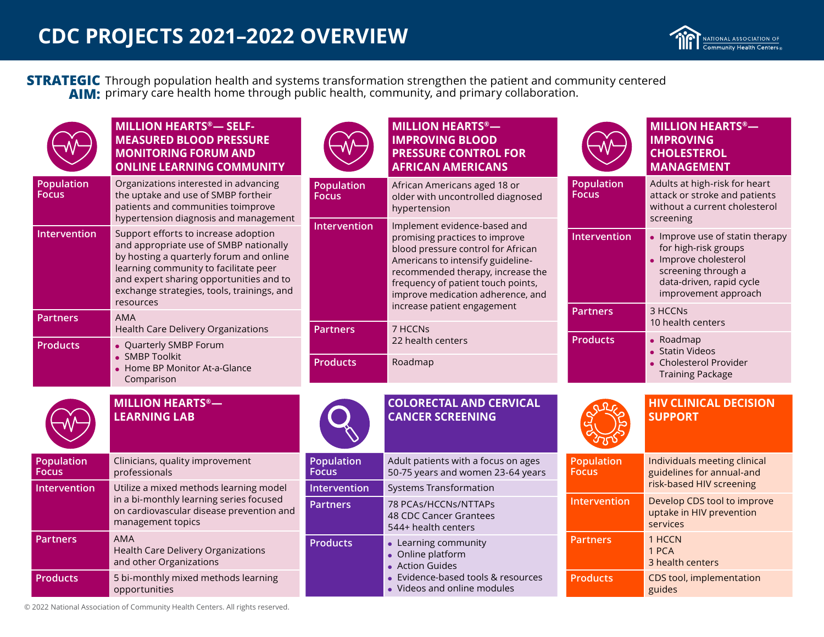Through population health and systems transformation strengthen the patient and community centered primary care health home through public health, community, and primary collaboration. **STRATEGIC AIM:**

|                                                               | <b>MILLION HEARTS®-SELF-</b><br><b>MEASURED BLOOD PRESSURE</b><br><b>MONITORING FORUM AND</b><br><b>ONLINE LEARNING COMMUNITY</b>                                                                                                                                        |                                   | <b>MILLION HEARTS®-</b><br><b>IMPROVING BLOOD</b><br><b>PRESSURE CONTROL FOR</b><br><b>AFRICAN AMERICANS</b>                                                                                                                                              |                                                   | <b>MILLION HEARTS®-</b><br><b>IMPROVING</b><br><b>CHOLESTEROL</b><br><b>MANAGEMENT</b>                                                                      |
|---------------------------------------------------------------|--------------------------------------------------------------------------------------------------------------------------------------------------------------------------------------------------------------------------------------------------------------------------|-----------------------------------|-----------------------------------------------------------------------------------------------------------------------------------------------------------------------------------------------------------------------------------------------------------|---------------------------------------------------|-------------------------------------------------------------------------------------------------------------------------------------------------------------|
| Population<br><b>Focus</b>                                    | Organizations interested in advancing<br>the uptake and use of SMBP fortheir<br>patients and communities toimprove<br>hypertension diagnosis and management                                                                                                              | <b>Population</b><br><b>Focus</b> | African Americans aged 18 or<br>older with uncontrolled diagnosed<br>hypertension                                                                                                                                                                         | <b>Population</b><br><b>Focus</b>                 | Adults at high-risk for heart<br>attack or stroke and patients<br>without a current cholesterol<br>screening                                                |
| Intervention                                                  | Support efforts to increase adoption<br>and appropriate use of SMBP nationally<br>by hosting a quarterly forum and online<br>learning community to facilitate peer<br>and expert sharing opportunities and to<br>exchange strategies, tools, trainings, and<br>resources | Intervention                      | Implement evidence-based and<br>promising practices to improve<br>blood pressure control for African<br>Americans to intensify guideline-<br>recommended therapy, increase the<br>frequency of patient touch points,<br>improve medication adherence, and | Intervention                                      | • Improve use of statin therapy<br>for high-risk groups<br>• Improve cholesterol<br>screening through a<br>data-driven, rapid cycle<br>improvement approach |
| <b>Partners</b>                                               | <b>AMA</b><br><b>Health Care Delivery Organizations</b>                                                                                                                                                                                                                  |                                   | increase patient engagement<br>7 HCCNs                                                                                                                                                                                                                    | <b>Partners</b>                                   | 3 HCCNs<br>10 health centers                                                                                                                                |
| <b>Products</b>                                               | • Quarterly SMBP Forum                                                                                                                                                                                                                                                   | <b>Partners</b>                   | 22 health centers                                                                                                                                                                                                                                         | <b>Products</b>                                   | $\bullet$ Roadmap<br>• Statin Videos                                                                                                                        |
| • SMBP Toolkit<br>• Home BP Monitor At-a-Glance<br>Comparison | <b>Products</b>                                                                                                                                                                                                                                                          | Roadmap                           |                                                                                                                                                                                                                                                           | • Cholesterol Provider<br><b>Training Package</b> |                                                                                                                                                             |
|                                                               | <b>MILLION HEARTS®-</b><br><b>LEARNING LAB</b>                                                                                                                                                                                                                           |                                   | <b>COLORECTAL AND CERVICAL</b><br><b>CANCER SCREENING</b>                                                                                                                                                                                                 |                                                   | <b>HIV CLINICAL DECISION</b><br><b>SUPPORT</b>                                                                                                              |
| Population<br><b>Focus</b>                                    | Clinicians, quality improvement<br>professionals                                                                                                                                                                                                                         | Population<br><b>Focus</b>        | Adult patients with a focus on ages<br>50-75 years and women 23-64 years                                                                                                                                                                                  | <b>Population</b><br><b>Focus</b>                 | Individuals meeting clinical<br>guidelines for annual-and                                                                                                   |
| Intervention                                                  | Utilize a mixed methods learning model                                                                                                                                                                                                                                   | Intervention                      | <b>Systems Transformation</b>                                                                                                                                                                                                                             |                                                   | risk-based HIV screening                                                                                                                                    |
|                                                               | in a bi-monthly learning series focused<br>on cardiovascular disease prevention and<br>management topics                                                                                                                                                                 | <b>Partners</b>                   | 78 PCAs/HCCNs/NTTAPs<br>48 CDC Cancer Grantees<br>544+ health centers                                                                                                                                                                                     | Intervention                                      | Develop CDS tool to improve<br>uptake in HIV prevention<br>services                                                                                         |
| <b>Partners</b>                                               | <b>AMA</b><br><b>Health Care Delivery Organizations</b><br>and other Organizations                                                                                                                                                                                       | <b>Products</b>                   | • Learning community<br>• Online platform<br>• Action Guides                                                                                                                                                                                              | <b>Partners</b>                                   | 1 HCCN<br>1 PCA<br>3 health centers                                                                                                                         |
| <b>Products</b>                                               | 5 bi-monthly mixed methods learning<br>opportunities                                                                                                                                                                                                                     |                                   | Evidence-based tools & resources<br>• Videos and online modules                                                                                                                                                                                           | <b>Products</b>                                   | CDS tool, implementation<br>guides                                                                                                                          |

© 2022 National Association of Community Health Centers. All rights reserved.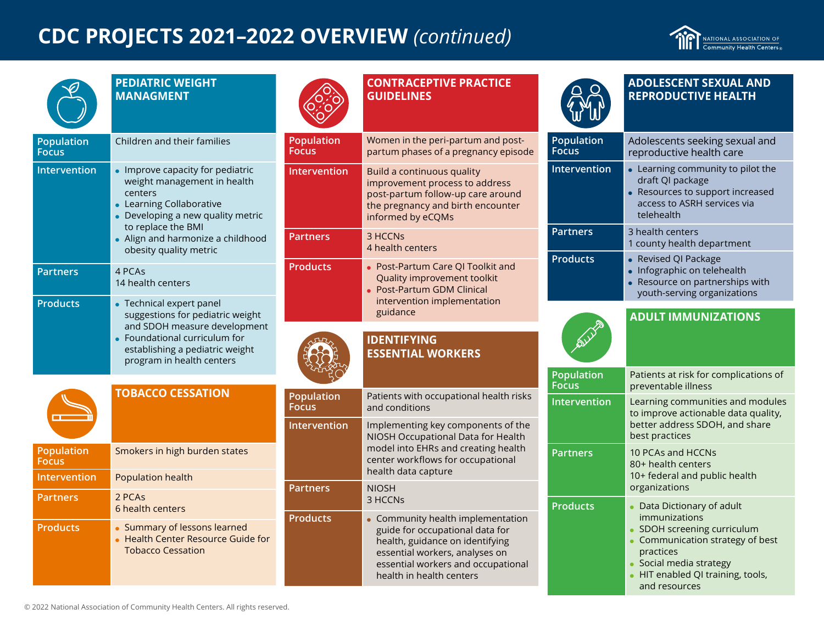# **CDC PROJECTS 2021–2022 OVERVIEW** *(continued)*

NATIONAL ASSOCIATION OF<br>Community Health Centers<sub>®</sub>

| 2 |
|---|
|   |

### **PEDIATRIC WEIGHT MANAGMENT**

| <b>Population</b><br><b>Focus</b> | Children and their families                                                                                                                                                                                                    |
|-----------------------------------|--------------------------------------------------------------------------------------------------------------------------------------------------------------------------------------------------------------------------------|
| <b>Intervention</b>               | Improve capacity for pediatric<br>weight management in health<br>centers<br>• Learning Collaborative<br>• Developing a new quality metric<br>to replace the BMI<br>• Align and harmonize a childhood<br>obesity quality metric |
| <b>Partners</b>                   | 4 PCAs<br>14 health centers                                                                                                                                                                                                    |
| <b>Products</b>                   | Technical expert panel<br>suggestions for pediatric weight<br>and SDOH measure development<br>• Foundational curriculum for<br>establishing a pediatric weight<br>program in health centers                                    |

|                                   | <b>TOBACCO CESSATION</b>                                                                     |
|-----------------------------------|----------------------------------------------------------------------------------------------|
| <b>Population</b><br><b>Focus</b> | Smokers in high burden states                                                                |
| Intervention                      | <b>Population health</b>                                                                     |
| Partners                          | 2 PCAs<br>6 health centers                                                                   |
| <b>Products</b>                   | Summary of lessons learned<br>• Health Center Resource Guide for<br><b>Tobacco Cessation</b> |



### **CONTRACEPTIVE PRACTICE GUIDELINES**

| Population<br>Focus | Women in the peri-partum and post-<br>partum phases of a pregnancy episode                                                                                  |  |  |
|---------------------|-------------------------------------------------------------------------------------------------------------------------------------------------------------|--|--|
| <b>Intervention</b> | Build a continuous quality<br>improvement process to address<br>post-partum follow-up care around<br>the pregnancy and birth encounter<br>informed by eCQMs |  |  |
| <b>Partners</b>     | 3 HCCN <sub>S</sub><br>4 health centers                                                                                                                     |  |  |
| <b>Products</b>     | Post-Partum Care QI Toolkit and<br>Quality improvement toolkit<br><b>Post-Partum GDM Clinical</b><br>intervention implementation<br>guidance                |  |  |
|                     |                                                                                                                                                             |  |  |
|                     | <b>IDENTIFYING</b><br><b>ESSENTIAL WORKERS</b>                                                                                                              |  |  |
|                     |                                                                                                                                                             |  |  |

| <b>Population</b><br><b>Focus</b> | Patients with occupational health risks<br>and conditions                                                                                                                                                 |  |  |
|-----------------------------------|-----------------------------------------------------------------------------------------------------------------------------------------------------------------------------------------------------------|--|--|
| Intervention                      | Implementing key components of the<br>NIOSH Occupational Data for Health<br>model into EHRs and creating health<br>center workflows for occupational<br>health data capture                               |  |  |
| <b>Partners</b>                   | <b>NIOSH</b><br>3 HCCN <sub>s</sub>                                                                                                                                                                       |  |  |
| <b>Products</b>                   | Community health implementation<br>guide for occupational data for<br>health, guidance on identifying<br>essential workers, analyses on<br>essential workers and occupational<br>health in health centers |  |  |

|                                   | <b>ADOLESCENT SEXUAL AND</b><br><b>REPRODUCTIVE HEALTH</b>                                                                         |
|-----------------------------------|------------------------------------------------------------------------------------------------------------------------------------|
| <b>Population</b><br><b>Focus</b> | Adolescents seeking sexual and<br>reproductive health care                                                                         |
| <b>Intervention</b>               | Learning community to pilot the<br>draft QI package<br>Resources to support increased<br>access to ASRH services via<br>telehealth |
| <b>Partners</b>                   | 3 health centers<br>1 county health department                                                                                     |
| <b>Products</b>                   | Revised QI Package<br>Infographic on telehealth<br>Resource on partnerships with<br>youth-serving organizations                    |
|                                   |                                                                                                                                    |
|                                   |                                                                                                                                    |
| <b>SIA</b>                        | <b>ADULT IMMUNIZATIONS</b>                                                                                                         |
| <b>Population</b><br><b>Focus</b> | Patients at risk for complications of<br>preventable illness                                                                       |
| <b>Intervention</b>               | Learning communities and modules<br>to improve actionable data quality,<br>better address SDOH, and share<br>best practices        |
| <b>Partners</b>                   | 10 PCAs and HCCNs<br>80+ health centers<br>10+ federal and public health<br>organizations                                          |

- Communication strategy of best practices
- Social media strategy
- HIT enabled QI training, tools, and resources